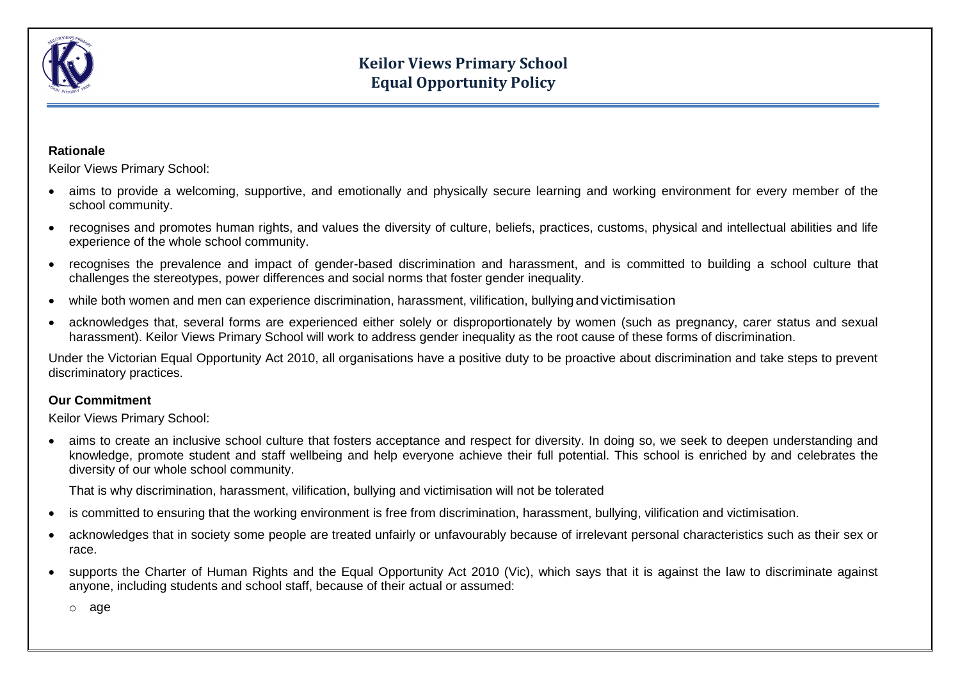

#### **Rationale**

Keilor Views Primary School:

- aims to provide a welcoming, supportive, and emotionally and physically secure learning and working environment for every member of the school community.
- recognises and promotes human rights, and values the diversity of culture, beliefs, practices, customs, physical and intellectual abilities and life experience of the whole school community.
- recognises the prevalence and impact of gender-based discrimination and harassment, and is committed to building a school culture that challenges the stereotypes, power differences and social norms that foster gender inequality.
- while both women and men can experience discrimination, harassment, vilification, bullying andvictimisation
- acknowledges that, several forms are experienced either solely or disproportionately by women (such as pregnancy, carer status and sexual harassment). Keilor Views Primary School will work to address gender inequality as the root cause of these forms of discrimination.

Under the Victorian Equal Opportunity Act 2010, all organisations have a positive duty to be proactive about discrimination and take steps to prevent discriminatory practices.

### **Our Commitment**

Keilor Views Primary School:

• aims to create an inclusive school culture that fosters acceptance and respect for diversity. In doing so, we seek to deepen understanding and knowledge, promote student and staff wellbeing and help everyone achieve their full potential. This school is enriched by and celebrates the diversity of our whole school community.

That is why discrimination, harassment, vilification, bullying and victimisation will not be tolerated

- is committed to ensuring that the working environment is free from discrimination, harassment, bullying, vilification and victimisation.
- acknowledges that in society some people are treated unfairly or unfavourably because of irrelevant personal characteristics such as their sex or race.
- supports the Charter of Human Rights and the Equal Opportunity Act 2010 (Vic), which says that it is against the law to discriminate against anyone, including students and school staff, because of their actual or assumed:

o [age](http://www.equalopportunitycommission.vic.gov.au/types%20of%20discrimination/age/default.asp)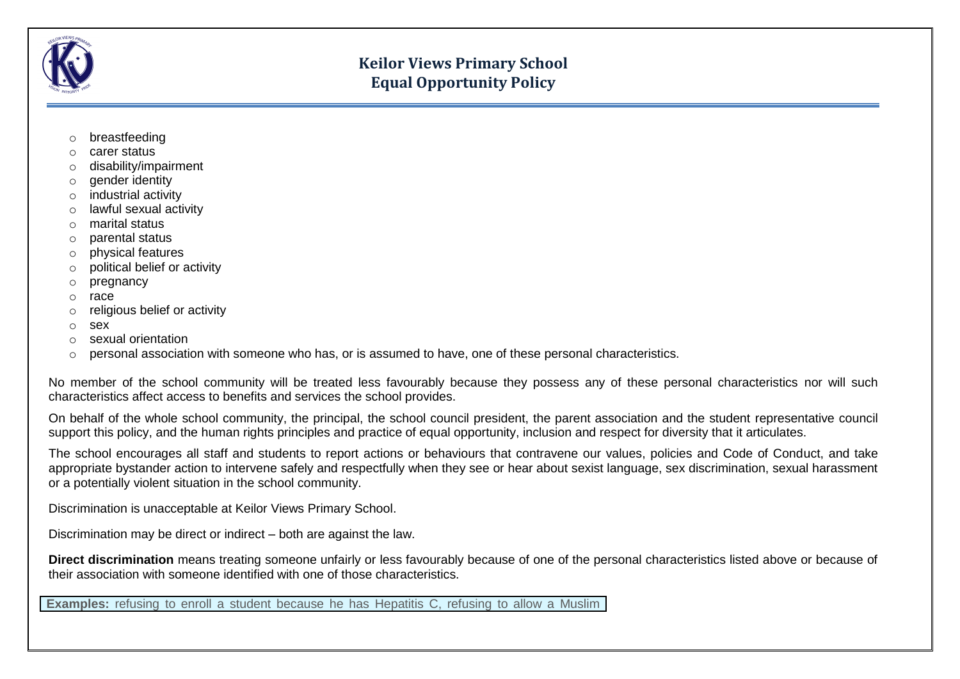

- o [breastfeeding](http://www.equalopportunitycommission.vic.gov.au/types%20of%20discrimination/pregnancy%20and%20breastfeeding/default.asp)
- o [carer status](http://www.equalopportunitycommission.vic.gov.au/types%20of%20discrimination/carer%20and%20parental%20status/default.asp)
- o [disability/impairment](http://www.equalopportunitycommission.vic.gov.au/types%20of%20discrimination/disability/default.asp)
- o [gender identity](http://www.equalopportunitycommission.vic.gov.au/types%20of%20discrimination/gender%20identity/default.asp)
- o [industrial activity](http://www.equalopportunitycommission.vic.gov.au/types%20of%20discrimination/industrial%20activity/default.asp)
- o [lawful sexual activity](http://www.equalopportunitycommission.vic.gov.au/types%20of%20discrimination/sexual%20orientation/default.asp)
- o [marital status](http://www.equalopportunitycommission.vic.gov.au/types%20of%20discrimination/marital%20status/default.asp)
- o [parental status](http://www.equalopportunitycommission.vic.gov.au/types%20of%20discrimination/carer%20and%20parental%20status/default.asp)
- o [physical features](http://www.equalopportunitycommission.vic.gov.au/types%20of%20discrimination/physical%20features/default.asp)
- o [political belief or activity](http://www.equalopportunitycommission.vic.gov.au/types%20of%20discrimination/political%20belief%20or%20activity/default.asp)
- o [pregnancy](http://www.equalopportunitycommission.vic.gov.au/types%20of%20discrimination/pregnancy%20and%20breastfeeding/default.asp)
- o [race](http://www.equalopportunitycommission.vic.gov.au/types%20of%20discrimination/race/default.asp)
- o [religious belief or activity](http://www.equalopportunitycommission.vic.gov.au/types%20of%20discrimination/religious%20belief%20or%20activity/default.asp)
- o [sex](http://www.equalopportunitycommission.vic.gov.au/types%20of%20discrimination/sex/default.asp)
- o [sexual orientation](http://www.equalopportunitycommission.vic.gov.au/types%20of%20discrimination/sexual%20orientation/default.asp)
- $\circ$  [personal association](http://www.equalopportunitycommission.vic.gov.au/types%20of%20discrimination/personal%20association/default.asp) with someone who has, or is assumed to have, one of these personal characteristics.

No member of the school community will be treated less favourably because they possess any of these personal characteristics nor will such characteristics affect access to benefits and services the school provides.

On behalf of the whole school community, the principal, the school council president, the parent association and the student representative council support this policy, and the human rights principles and practice of equal opportunity, inclusion and respect for diversity that it articulates.

The school encourages all staff and students to report actions or behaviours that contravene our values, policies and Code of Conduct, and take appropriate bystander action to intervene safely and respectfully when they see or hear about sexist language, sex discrimination, sexual harassment or a potentially violent situation in the school community.

Discrimination is unacceptable at Keilor Views Primary School.

Discrimination may be direct or indirect – both are against the law.

**Direct discrimination** means treating someone unfairly or less favourably because of one of the personal characteristics listed above or because of their association with someone identified with one of those characteristics.

**Examples:** refusing to enroll a student because he has Hepatitis C, refusing to allow a Muslim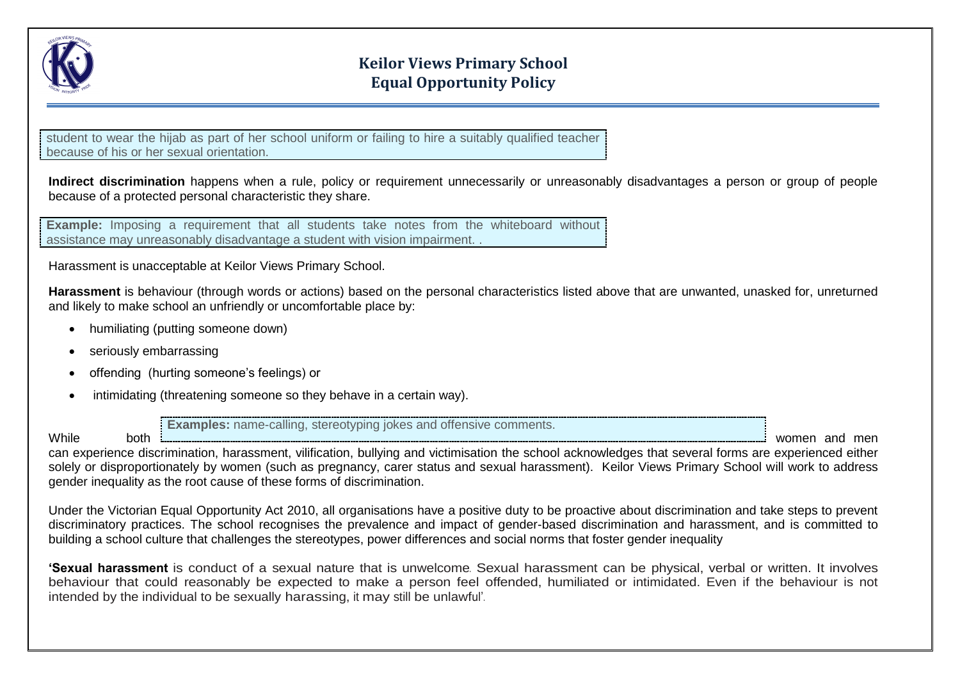

student to wear the hijab as part of her school uniform or failing to hire a suitably qualified teacher because of his or her sexual orientation.

**Indirect discrimination** happens when a rule, policy or requirement unnecessarily or unreasonably disadvantages a person or group of people because of a protected personal characteristic they share.

**Example:** Imposing a requirement that all students take notes from the whiteboard without assistance may unreasonably disadvantage a student with vision impairment. .

Harassment is unacceptable at Keilor Views Primary School.

**Harassment** is behaviour (through words or actions) based on the personal characteristics listed above that are unwanted, unasked for, unreturned and likely to make school an unfriendly or uncomfortable place by:

- humiliating (putting someone down)
- seriously embarrassing
- offending (hurting someone's feelings) or
- intimidating (threatening someone so they behave in a certain way).

**Examples:** name-calling, stereotyping jokes and offensive comments.

While both women and men

can experience discrimination, harassment, vilification, bullying and victimisation the school acknowledges that several forms are experienced either solely or disproportionately by women (such as pregnancy, carer status and sexual harassment). Keilor Views Primary School will work to address gender inequality as the root cause of these forms of discrimination.

Under the Victorian Equal Opportunity Act 2010, all organisations have a positive duty to be proactive about discrimination and take steps to prevent discriminatory practices. The school recognises the prevalence and impact of gender-based discrimination and harassment, and is committed to building a school culture that challenges the stereotypes, power differences and social norms that foster gender inequality

**'Sexual harassment** is conduct of a sexual nature that is unwelcome. Sexual harassment can be physical, verbal or written. It involves behaviour that could reasonably be expected to make a person feel offended, humiliated or intimidated. Even if the behaviour is not intended by the individual to be sexually harassing, it may still be unlawful'.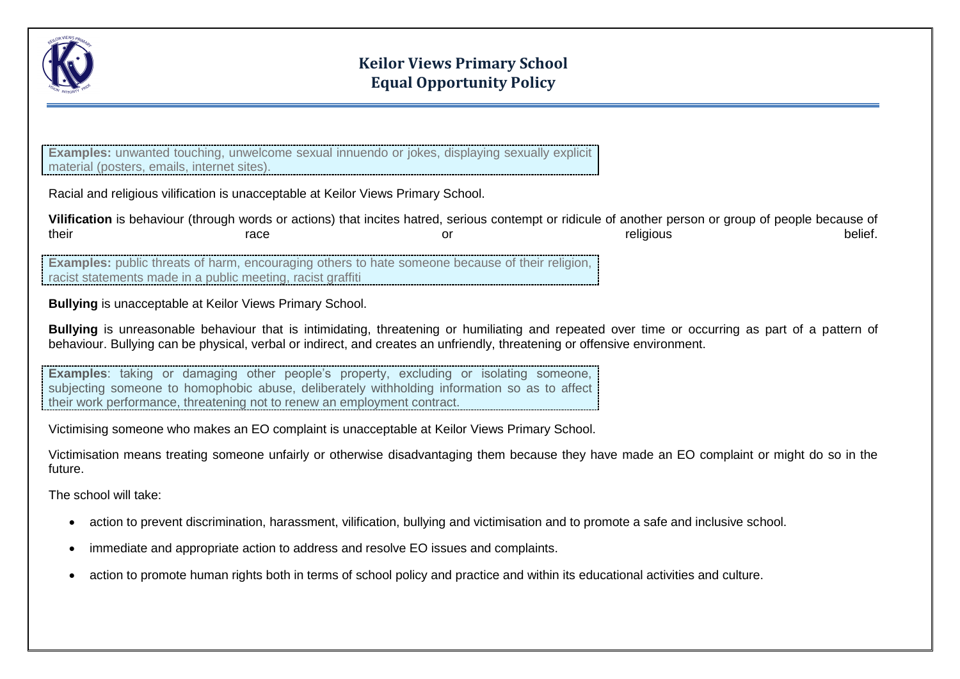

**Examples:** unwanted touching, unwelcome sexual innuendo or jokes, displaying sexually explicit material (posters, emails, internet sites).

Racial and religious vilification is unacceptable at Keilor Views Primary School.

|       |      | Vilification is behaviour (through words or actions) that incites hatred, serious contempt or ridicule of another person or group of people because of |         |
|-------|------|--------------------------------------------------------------------------------------------------------------------------------------------------------|---------|
| their | race | religious                                                                                                                                              | belief. |

**Examples:** public threats of harm, encouraging others to hate someone because of their religion, racist statements made in a public meeting, racist graffiti

**Bullying** is unacceptable at Keilor Views Primary School.

**Bullying** is unreasonable behaviour that is intimidating, threatening or humiliating and repeated over time or occurring as part of a pattern of behaviour. Bullying can be physical, verbal or indirect, and creates an unfriendly, threatening or offensive environment.

**Examples**: taking or damaging other people's property, excluding or isolating someone, subjecting someone to homophobic abuse, deliberately withholding information so as to affect their work performance, threatening not to renew an employment contract.

Victimising someone who makes an EO complaint is unacceptable at Keilor Views Primary School.

Victimisation means treating someone unfairly or otherwise disadvantaging them because they have made an EO complaint or might do so in the future.

The school will take:

- action to prevent discrimination, harassment, vilification, bullying and victimisation and to promote a safe and inclusive school.
- immediate and appropriate action to address and resolve EO issues and complaints.
- action to promote human rights both in terms of school policy and practice and within its educational activities and culture.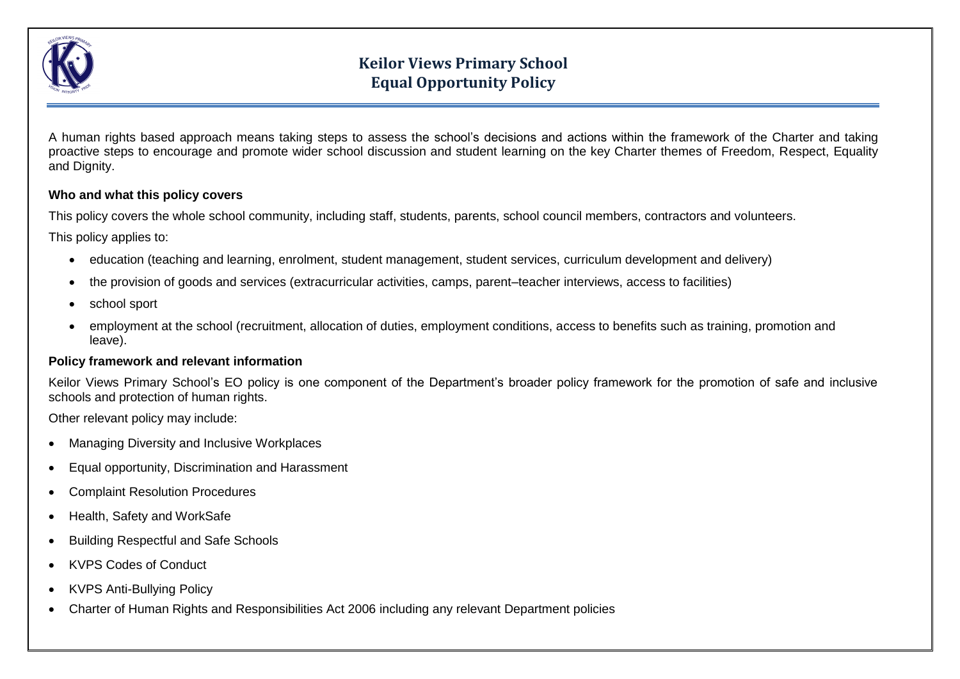

A human rights based approach means taking steps to assess the school's decisions and actions within the framework of the Charter and taking proactive steps to encourage and promote wider school discussion and student learning on the key Charter themes of Freedom, Respect, Equality and Dignity.

### **Who and what this policy covers**

This policy covers the whole school community, including staff, students, parents, school council members, contractors and volunteers.

This policy applies to:

- education (teaching and learning, enrolment, student management, student services, curriculum development and delivery)
- the provision of goods and services (extracurricular activities, camps, parent–teacher interviews, access to facilities)
- school sport
- employment at the school (recruitment, allocation of duties, employment conditions, access to benefits such as training, promotion and leave).

### **Policy framework and relevant information**

Keilor Views Primary School's EO policy is one component of the Department's broader policy framework for the promotion of safe and inclusive schools and protection of human rights.

Other relevant policy may include:

- [Managing Diversity and Inclusive Workplaces](http://www.education.vic.gov.au/hrweb/divequity/divman.htm)
- [Equal opportunity, Discrimination and Harassment](http://www.education.vic.gov.au/hrweb/Documents/Equal-Opportunity-Discrimination-and-Harassment.pdf)
- [Complaint Resolution Procedures](http://www.education.vic.gov.au/hrweb/workm/Pages/conduct.aspx)
- [Health, Safety and WorkSafe](http://www.education.vic.gov.au/school/teachers/management/Pages/healthworksafe.aspx)
- [Building Respectful and Safe Schools](https://www.eduweb.vic.gov.au/edulibrary/public/stuman/wellbeing/respectfulsafe.pdf)
- KVPS Codes of Conduct
- KVPS Anti-Bullying Policy
- [Charter of Human Rights and Responsibilities Act 2006](http://www.education.vic.gov.au/hrweb/workm/Pages/Human_Rights.aspx) including any relevant [Department policies](http://www.education.vic.gov.au/school/principals/spag/Pages/spag.aspx)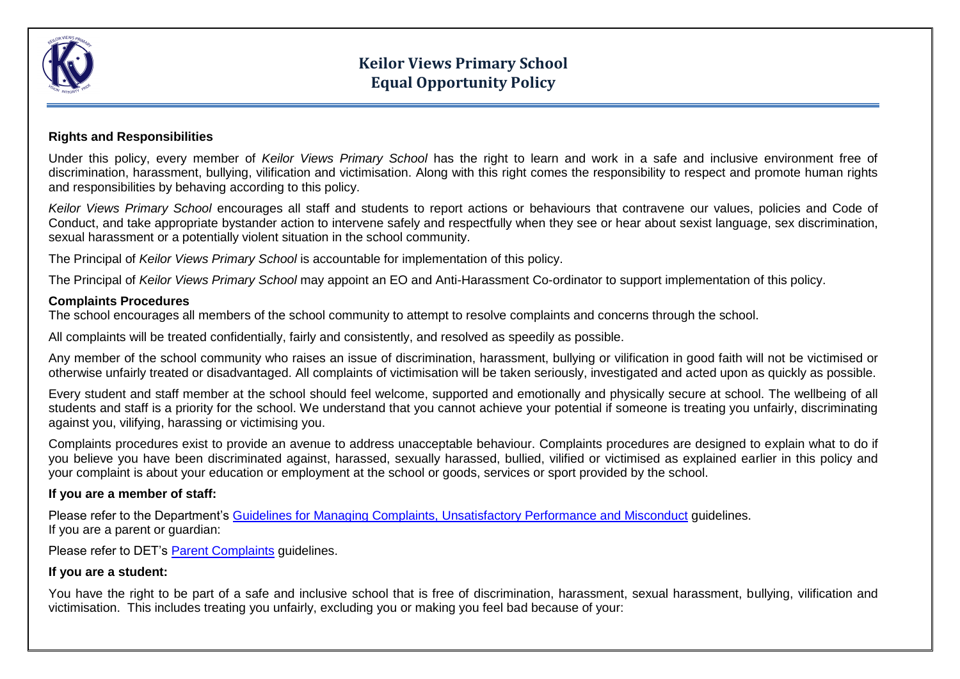

### **Rights and Responsibilities**

Under this policy, every member of *Keilor Views Primary School* has the right to learn and work in a safe and inclusive environment free of discrimination, harassment, bullying, vilification and victimisation. Along with this right comes the responsibility to respect and promote human rights and responsibilities by behaving according to this policy.

*Keilor Views Primary School* encourages all staff and students to report actions or behaviours that contravene our values, policies and Code of Conduct, and take appropriate bystander action to intervene safely and respectfully when they see or hear about sexist language, sex discrimination, sexual harassment or a potentially violent situation in the school community.

The Principal of *Keilor Views Primary School* is accountable for implementation of this policy.

The Principal of *Keilor Views Primary School* may appoint an EO and Anti-Harassment Co-ordinator to support implementation of this policy.

### **Complaints Procedures**

The school encourages all members of the school community to attempt to resolve complaints and concerns through the school.

All complaints will be treated confidentially, fairly and consistently, and resolved as speedily as possible.

Any member of the school community who raises an issue of discrimination, harassment, bullying or vilification in good faith will not be victimised or otherwise unfairly treated or disadvantaged. All complaints of victimisation will be taken seriously, investigated and acted upon as quickly as possible.

Every student and staff member at the school should feel welcome, supported and emotionally and physically secure at school. The wellbeing of all students and staff is a priority for the school. We understand that you cannot achieve your potential if someone is treating you unfairly, discriminating against you, vilifying, harassing or victimising you.

Complaints procedures exist to provide an avenue to address unacceptable behaviour. Complaints procedures are designed to explain what to do if you believe you have been discriminated against, harassed, sexually harassed, bullied, vilified or victimised as explained earlier in this policy and your complaint is about your education or employment at the school or goods, services or sport provided by the school.

### **If you are a member of staff:**

Please refer to the Department's Guidelines for Managing Complaints, [Unsatisfactory Performance and Misconduct](hhttp://www.education.vic.gov.au/hrweb/Documents/Complaints_Misconduct_and_Unsatisfactory-Performance_VPS.pdf) guidelines. If you are a parent or guardian:

Please refer to DET's [Parent Complaints](http://www.education.vic.gov.au/school/principals/spag/community/Pages/parentcomplaints.aspx) guidelines.

### **If you are a student:**

You have the right to be part of a safe and inclusive school that is free of discrimination, harassment, sexual harassment, bullying, vilification and victimisation. This includes treating you unfairly, excluding you or making you feel bad because of your: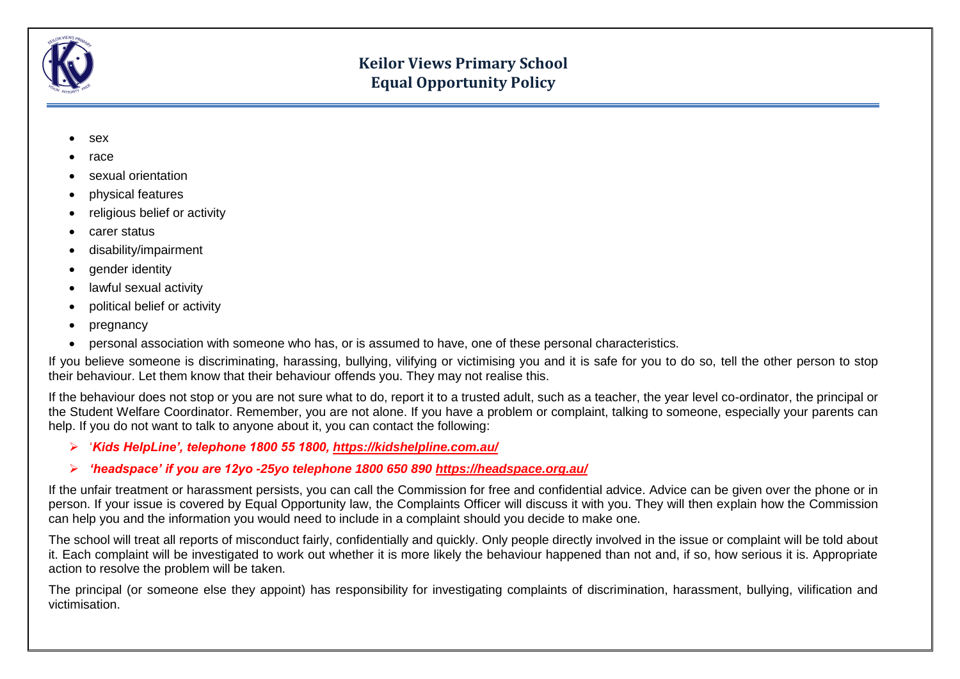

- [sex](http://www.equalopportunitycommission.vic.gov.au/types%20of%20discrimination/sex/default.asp)
- [race](http://www.equalopportunitycommission.vic.gov.au/types%20of%20discrimination/race/default.asp)
- [sexual orientation](http://www.equalopportunitycommission.vic.gov.au/types%20of%20discrimination/sexual%20orientation/default.asp)
- [physical features](http://www.equalopportunitycommission.vic.gov.au/types%20of%20discrimination/physical%20features/default.asp)
- [religious belief or activity](http://www.equalopportunitycommission.vic.gov.au/types%20of%20discrimination/religious%20belief%20or%20activity/default.asp)
- [carer status](http://www.equalopportunitycommission.vic.gov.au/types%20of%20discrimination/carer%20and%20parental%20status/default.asp)
- [disability/impairment](http://www.equalopportunitycommission.vic.gov.au/types%20of%20discrimination/disability/default.asp)
- [gender identity](http://www.equalopportunitycommission.vic.gov.au/types%20of%20discrimination/gender%20identity/default.asp)
- [lawful sexual activity](http://www.equalopportunitycommission.vic.gov.au/types%20of%20discrimination/sexual%20orientation/default.asp)
- [political belief or activity](http://www.equalopportunitycommission.vic.gov.au/types%20of%20discrimination/political%20belief%20or%20activity/default.asp)
- [pregnancy](http://www.equalopportunitycommission.vic.gov.au/types%20of%20discrimination/pregnancy%20and%20breastfeeding/default.asp)
- [personal association](http://www.equalopportunitycommission.vic.gov.au/types%20of%20discrimination/personal%20association/default.asp) with someone who has, or is assumed to have, one of these personal characteristics.

If you believe someone is discriminating, harassing, bullying, vilifying or victimising you and it is safe for you to do so, tell the other person to stop their behaviour. Let them know that their behaviour offends you. They may not realise this.

If the behaviour does not stop or you are not sure what to do, report it to a trusted adult, such as a teacher, the year level co-ordinator, the principal or the Student Welfare Coordinator. Remember, you are not alone. If you have a problem or complaint, talking to someone, especially your parents can help. If you do not want to talk to anyone about it, you can contact the following:

- '*Kids HelpLine', telephone 1800 55 1800,<https://kidshelpline.com.au/>*
- *'headspace' if you are 12yo -25yo telephone 1800 650 890<https://headspace.org.au/>*

If the unfair treatment or harassment persists, you can call the Commission for free and confidential advice. Advice can be given over the phone or in person. If your issue is covered by Equal Opportunity law, the Complaints Officer will discuss it with you. They will then explain how the Commission can help you and the information you would need to include in a complaint should you decide to make one.

The school will treat all reports of misconduct fairly, confidentially and quickly. Only people directly involved in the issue or complaint will be told about it. Each complaint will be investigated to work out whether it is more likely the behaviour happened than not and, if so, how serious it is. Appropriate action to resolve the problem will be taken.

The principal (or someone else they appoint) has responsibility for investigating complaints of discrimination, harassment, bullying, vilification and victimisation.